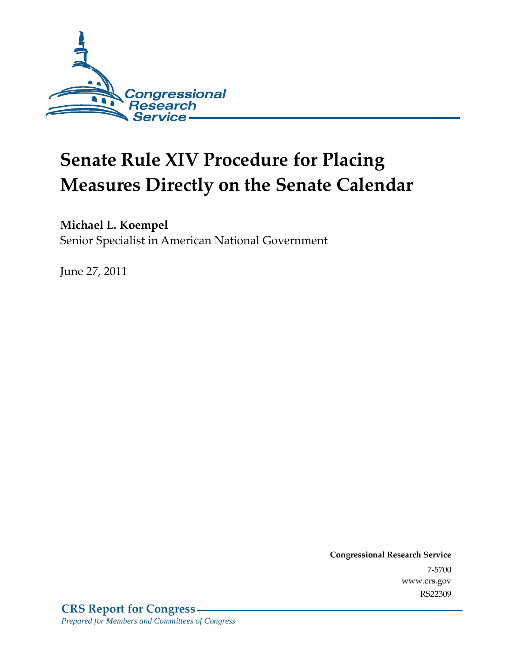

# **Senate Rule XIV Procedure for Placing Measures Directly on the Senate Calendar**

### **Michael L. Koempel**

Senior Specialist in American National Government

June 27, 2011

**Congressional Research Service** 7-5700 www.crs.gov RS22309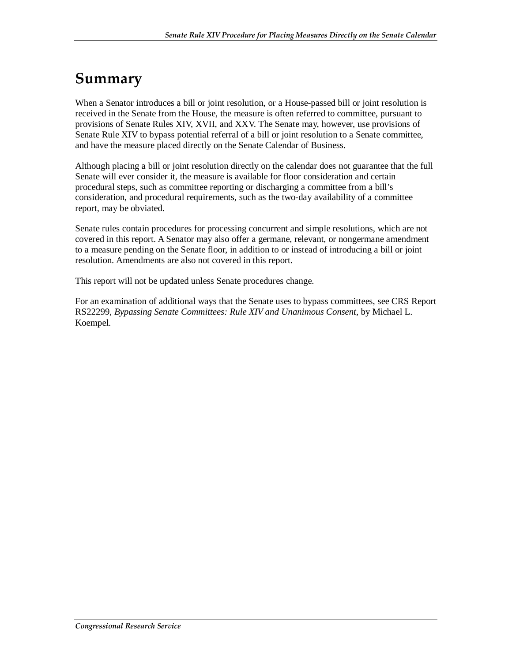### **Summary**

When a Senator introduces a bill or joint resolution, or a House-passed bill or joint resolution is received in the Senate from the House, the measure is often referred to committee, pursuant to provisions of Senate Rules XIV, XVII, and XXV. The Senate may, however, use provisions of Senate Rule XIV to bypass potential referral of a bill or joint resolution to a Senate committee, and have the measure placed directly on the Senate Calendar of Business.

Although placing a bill or joint resolution directly on the calendar does not guarantee that the full Senate will ever consider it, the measure is available for floor consideration and certain procedural steps, such as committee reporting or discharging a committee from a bill's consideration, and procedural requirements, such as the two-day availability of a committee report, may be obviated.

Senate rules contain procedures for processing concurrent and simple resolutions, which are not covered in this report. A Senator may also offer a germane, relevant, or nongermane amendment to a measure pending on the Senate floor, in addition to or instead of introducing a bill or joint resolution. Amendments are also not covered in this report.

This report will not be updated unless Senate procedures change.

For an examination of additional ways that the Senate uses to bypass committees, see CRS Report RS22299, *Bypassing Senate Committees: Rule XIV and Unanimous Consent*, by Michael L. Koempel.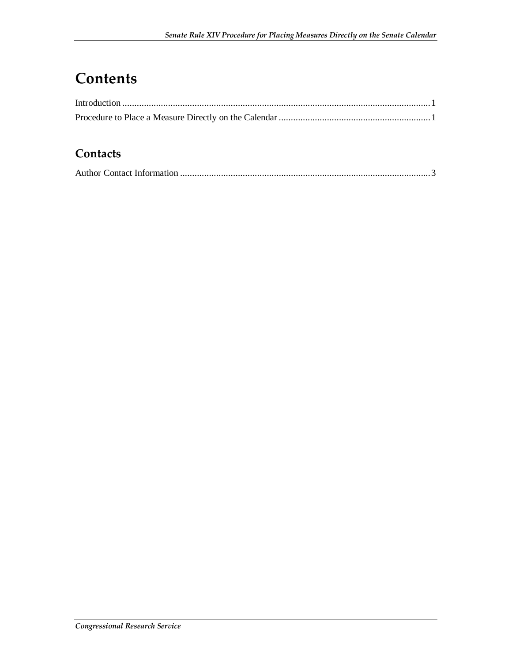### **Contents**

#### **Contacts**

|--|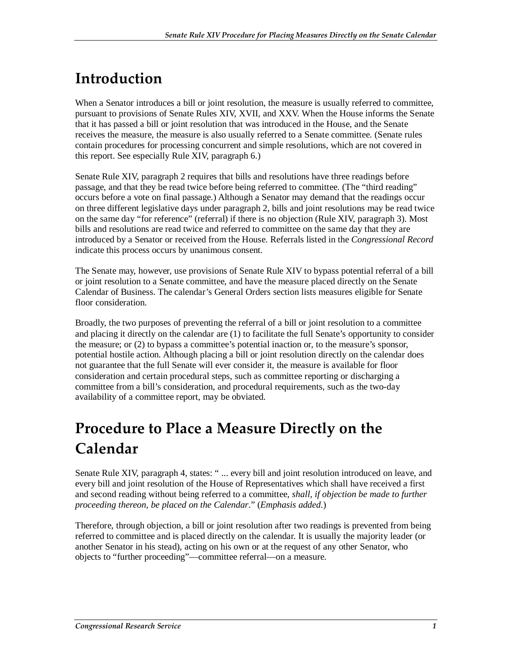## **Introduction**

When a Senator introduces a bill or joint resolution, the measure is usually referred to committee, pursuant to provisions of Senate Rules XIV, XVII, and XXV. When the House informs the Senate that it has passed a bill or joint resolution that was introduced in the House, and the Senate receives the measure, the measure is also usually referred to a Senate committee. (Senate rules contain procedures for processing concurrent and simple resolutions, which are not covered in this report. See especially Rule XIV, paragraph 6.)

Senate Rule XIV, paragraph 2 requires that bills and resolutions have three readings before passage, and that they be read twice before being referred to committee. (The "third reading" occurs before a vote on final passage.) Although a Senator may demand that the readings occur on three different legislative days under paragraph 2, bills and joint resolutions may be read twice on the same day "for reference" (referral) if there is no objection (Rule XIV, paragraph 3). Most bills and resolutions are read twice and referred to committee on the same day that they are introduced by a Senator or received from the House. Referrals listed in the *Congressional Record* indicate this process occurs by unanimous consent.

The Senate may, however, use provisions of Senate Rule XIV to bypass potential referral of a bill or joint resolution to a Senate committee, and have the measure placed directly on the Senate Calendar of Business. The calendar's General Orders section lists measures eligible for Senate floor consideration

Broadly, the two purposes of preventing the referral of a bill or joint resolution to a committee and placing it directly on the calendar are (1) to facilitate the full Senate's opportunity to consider the measure; or (2) to bypass a committee's potential inaction or, to the measure's sponsor, potential hostile action. Although placing a bill or joint resolution directly on the calendar does not guarantee that the full Senate will ever consider it, the measure is available for floor consideration and certain procedural steps, such as committee reporting or discharging a committee from a bill's consideration, and procedural requirements, such as the two-day availability of a committee report, may be obviated.

### **Procedure to Place a Measure Directly on the Calendar**

Senate Rule XIV, paragraph 4, states: "... every bill and joint resolution introduced on leave, and every bill and joint resolution of the House of Representatives which shall have received a first and second reading without being referred to a committee, *shall, if objection be made to further proceeding thereon, be placed on the Calendar*." (*Emphasis added*.)

Therefore, through objection, a bill or joint resolution after two readings is prevented from being referred to committee and is placed directly on the calendar. It is usually the majority leader (or another Senator in his stead), acting on his own or at the request of any other Senator, who objects to "further proceeding"—committee referral—on a measure.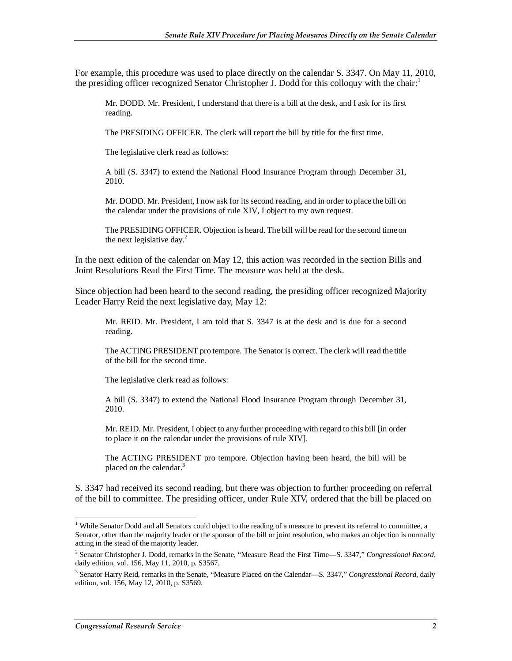For example, this procedure was used to place directly on the calendar S. 3347. On May 11, 2010, the presiding officer recognized Senator Christopher J. Dodd for this colloquy with the chair:

Mr. DODD. Mr. President, I understand that there is a bill at the desk, and I ask for its first reading.

The PRESIDING OFFICER. The clerk will report the bill by title for the first time.

The legislative clerk read as follows:

A bill (S. 3347) to extend the National Flood Insurance Program through December 31, 2010.

Mr. DODD. Mr. President, I now ask for its second reading, and in order to place the bill on the calendar under the provisions of rule XIV, I object to my own request.

The PRESIDING OFFICER. Objection is heard. The bill will be read for the second time on the next legislative day. $^{2}$ 

In the next edition of the calendar on May 12, this action was recorded in the section Bills and Joint Resolutions Read the First Time. The measure was held at the desk.

Since objection had been heard to the second reading, the presiding officer recognized Majority Leader Harry Reid the next legislative day, May 12:

Mr. REID. Mr. President, I am told that S. 3347 is at the desk and is due for a second reading.

The ACTING PRESIDENT pro tempore. The Senator is correct. The clerk will read the title of the bill for the second time.

The legislative clerk read as follows:

A bill (S. 3347) to extend the National Flood Insurance Program through December 31, 2010.

Mr. REID. Mr. President, I object to any further proceeding with regard to this bill [in order to place it on the calendar under the provisions of rule XIV].

The ACTING PRESIDENT pro tempore. Objection having been heard, the bill will be placed on the calendar.<sup>3</sup>

S. 3347 had received its second reading, but there was objection to further proceeding on referral of the bill to committee. The presiding officer, under Rule XIV, ordered that the bill be placed on

<sup>-</sup><sup>1</sup> While Senator Dodd and all Senators could object to the reading of a measure to prevent its referral to committee, a Senator, other than the majority leader or the sponsor of the bill or joint resolution, who makes an objection is normally acting in the stead of the majority leader.

<sup>2</sup> Senator Christopher J. Dodd, remarks in the Senate, "Measure Read the First Time—S. 3347," *Congressional Record,* daily edition, vol. 156, May 11, 2010, p. S3567.

<sup>3</sup> Senator Harry Reid, remarks in the Senate, "Measure Placed on the Calendar—S. 3347," *Congressional Record,* daily edition, vol. 156, May 12, 2010, p. S3569.